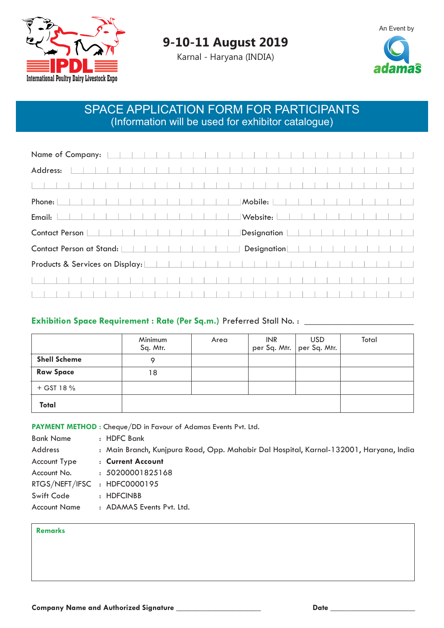



Karnal - Haryana (INDIA)



## SPACE APPLICATION FORM FOR PARTICIPANTS (Information will be used for exhibitor catalogue)

| Name of Company:                |  |  |             |
|---------------------------------|--|--|-------------|
| Address:                        |  |  |             |
|                                 |  |  |             |
| Phone:                          |  |  | Mobile:     |
| Email:                          |  |  | Website:    |
| <b>Contact Person</b>           |  |  | Designation |
| Contact Person at Stand:        |  |  | Designation |
| Products & Services on Display: |  |  |             |
|                                 |  |  |             |
|                                 |  |  |             |

## **Exhibition Space Requirement : Rate (Per Sq.m.)** Preferred Stall No. : \_\_\_\_\_\_\_\_\_\_\_\_\_\_\_\_\_\_\_\_\_\_\_

|                     | Minimum<br>Sq. Mtr. | Area | INR   USD<br>  per Sq. Mtr.  per Sq. Mtr. <sub> </sub> | Total |
|---------------------|---------------------|------|--------------------------------------------------------|-------|
| <b>Shell Scheme</b> |                     |      |                                                        |       |
| <b>Raw Space</b>    | 18                  |      |                                                        |       |
| $+$ GST 18 $%$      |                     |      |                                                        |       |
| Total               |                     |      |                                                        |       |

**PAYMENT METHOD :** Cheque/DD in Favour of Adamas Events Pvt. Ltd.

| : HDFC Bank                                                                            |
|----------------------------------------------------------------------------------------|
| : Main Branch, Kunjpura Road, Opp. Mahabir Dal Hospital, Karnal-132001, Haryana, India |
| : Current Account                                                                      |
| : 50200001825168                                                                       |
| RTGS/NEFT/IFSC : HDFC0000195                                                           |
| : HDFCINBB                                                                             |
| : ADAMAS Events Pvt. Ltd.                                                              |
|                                                                                        |

## **Remarks**